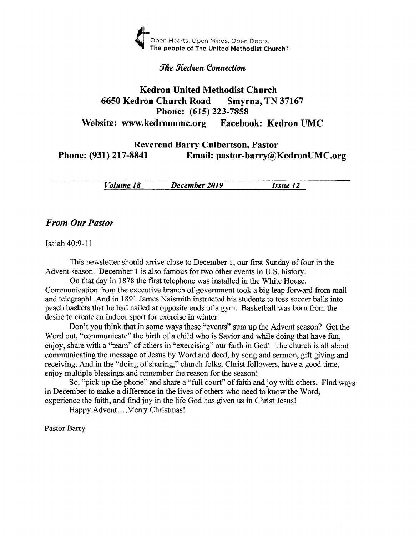

#### **The Kedron Connection**

## Kedron United Methodist Church <sup>6650</sup>Kedron Church Road Smyrna, TN <sup>37167</sup> Phone: (615) 223-7858 Website: www.kedronumc.org Facebook: Kedron UMC

Reverend Barry Culbertson, Pastor<br>Phone: (931) 217-8841 Email: pastor-barry@l Email: pastor-barry@KedronUMC.org

Volume 18 December 2019 Issue <sup>12</sup>

#### From Our Pustor

Isaiah 40:9-11

This newsletter should arrive close to December 1, our first Sunday of four in the Advent season. December 1 is also famous for two other events in U.S. history.

On that day in 1878 the first telephone was installed in the White House. Communication from the executive branch of government took a big leap forward from mail and telegraph! And in 1891 James Naismith instructed his students to toss soccer balls into peach baskets that he had nailed at opposite ends of a gym. Basketball was born from the desire to create an indoor sport for exercise in winter.

Don't you think that in some ways these "events" sum up the Advent season? Get the Word out, "communicate" the birth of a child who is Savior and while doing that have fun, enjoy, share with a "team" of others in "exercising" our faith in God! The church is all about communicating the message of Jesus by Word and deed, by song and sermon, gift giving and receiving. And in the "doing of sharing," church folks, Christ followers, have a good time, enjoy multiple blessings and remember the reason for the season!

So, "pick up the phone" and share a "full court" of faith and joy with others. Find ways in December to make a difference in the iives of others who need to know the Word, experience the faith, and find joy in the life God has given us in Christ Jesus!

Happy Advent....Merry Christmas!

Pastor Barry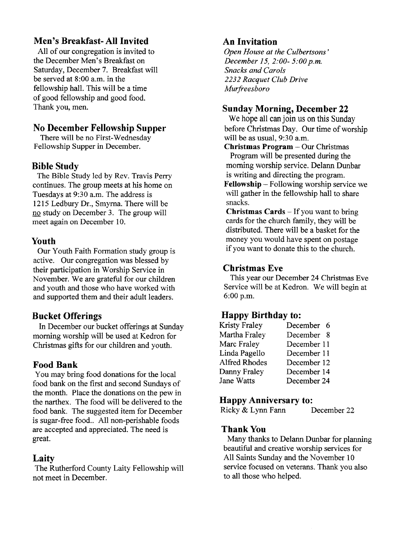# Men's Breakfast- AII Invited

All of our congregation is invited to the December Men's Breakfast on Saturday, December 7. Breakfast will be served at 8:00 a.m. in the fellowship hall. This will be a time of good fellowship and good food. Thank you, men.

## No December Fellowship Supper

There will be no First-Wednesday Fellowship Supper in December.

## Bible Study

The Bible Study led by Rev. Travis Perry continues. The group meets at his home on Tuesdays at 9:30 a.m. The address is 1215 Ledbury Dr., Smyrna. There will be no study on December 3. The group will meet again on December 10.

## Youth

Our Youth Faith Formation study group is active. Our congregation was blessed by their participation in Worship Service in November. We are grateful for our children and youth and those who have worked with and supported them and their adult leaders.

## Bucket Offerings

In December our bucket offerings at Sunday morning worship will be used at Kedron for Christmas gifts for our children and youth.

## Food Bank

You may bring food donations for the local food bank on the first and second Sundays of the month. Place the donations on the pew in the narthex. The food will be delivered to the food bank. The suggested item for December is sugar-free food.. All non-perishable foods are accepted and appreciated. The need is great.

## Laity

The Rutherford County Laity Fellowship will not meet in December.

# An Invitation

Open House at the Culbertsons' December 15, 2:00- 5:00 p.m. Snacks and Carols 2232 Racquet Club Drive Murfreesboro

## Sunday Morning, December 22

We hope all can join us on this Sunday before Christmas Day. Our time of worship will be as usual, 9:30 a.m.

Christmas Program - Our Christmas Program will be presented during the morning worship service. Delann Dunbar is writing and directing the program. Fellowship - Following worship service we will gather in the fellowship hall to share snacks.

**Christmas Cards**  $-$  If you want to bring cards for the church family, they will be distributed. There will be a basket for the money you would have spent on postage if you want to donate this to the church.

## Christmas Eve

This year our December 24 Christmas Eve Service will be at Kedron. We will begin at 6:00 p.m.

## Happy Birthday to:

| Kristy Fraley        | December 6  |
|----------------------|-------------|
| Martha Fraley        | December 8  |
| Marc Fraley          | December 11 |
| Linda Pagello        | December 11 |
| <b>Alfred Rhodes</b> | December 12 |
| Danny Fraley         | December 14 |
| Jane Watts           | December 24 |
|                      |             |

## Happy Anniversary to:

Ricky & Lynn Fann December 22

#### Thank You

Many thanks to Delann Dunbar for planning beautiful and creative worship services for A11 Saints Sunday and the November 10 service focused on veterans. Thank you also to all those who helped.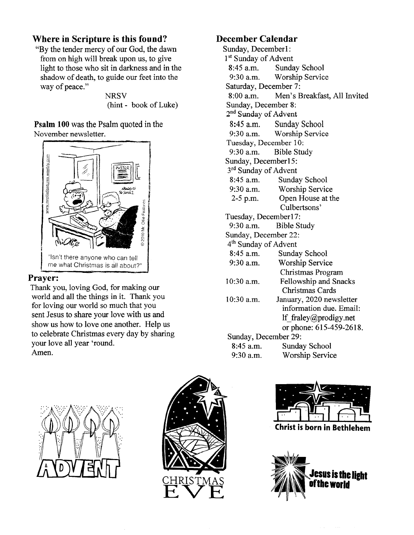## Where in Scripture is this found?

"By the tender mercy of our God, the dawn from on high will break upon us, to give light to those who sit in darkness and in the shadow of death, to guide our feet into the way of peace."

> **NRSV** (hint - book of Luke)

Psalm 100 was the Psalm quoted in the November newsletter.



#### Prayer:

Thank you, loving God, for making our world and all the things in it. Thank you for loving our world so much that you sent Jesus to share your love with us and show us how to love one another. Help us to celebrate Christmas every day by sharing your love all year 'round. Amen.

## December Calendar

Sunday, Decemberl: 1<sup>st</sup> Sunday of Advent 8:45 a.m. Sunday School 9:30 a.m. Worship Service Saturday, December 7: 8:00 a.m. Men's Breakfast, All lnvited Sunday, December 8: 2<sup>nd</sup> Sunday of Advent 8:45 a.m. Sunday School<br>9:30 a.m. Worship Servic Worship Service Tuesday, December 10: 9:30 a.m. Bible Study Sunday, Decemberl5: 3<sup>rd</sup> Sunday of Advent 8:45 a.m. Sunday School 9:30 a.m. Worship Service 2-5 p.m. Open House at the Culbertsons' Tuesday, December17: 9:30 a.m. Bible Study Sunday, December 22: 4th Sunday of Advent 8:45 a.m. Sunday School 9:30 a.m. Worship Service Christmas Program 10:30 a.m. Fellowship and Snacks Christmas Cards 10:30 a.m. January, 2020 newsletter information due. Email: lf fraley@prodigy.net or phone: 615-459-2618. Sunday, December 29: 8:45 a.m. Sunday School 9:30 a.m. Worship Service







(hrist is born in Bethlehem